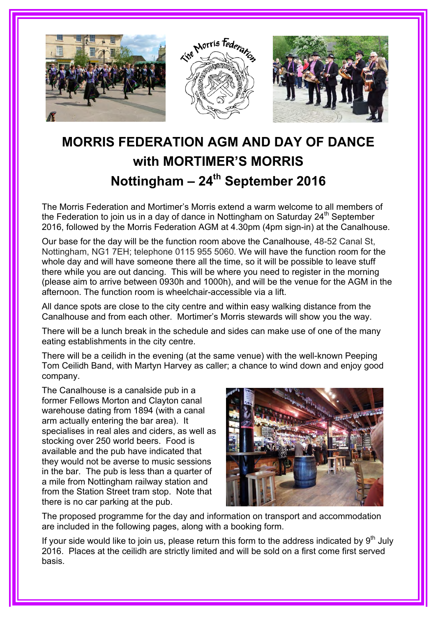

## **MORRIS FEDERATION AGM AND DAY OF DANCE with MORTIMER'S MORRIS Nottingham – 24th September 2016**

The Morris Federation and Mortimer's Morris extend a warm welcome to all members of the Federation to join us in a day of dance in Nottingham on Saturday  $24<sup>th</sup>$  September 2016, followed by the Morris Federation AGM at 4.30pm (4pm sign-in) at the Canalhouse.

Our base for the day will be the function room above the Canalhouse, 48-52 Canal St, Nottingham, NG1 7EH; telephone 0115 955 5060. We will have the function room for the whole day and will have someone there all the time, so it will be possible to leave stuff there while you are out dancing. This will be where you need to register in the morning (please aim to arrive between 0930h and 1000h), and will be the venue for the AGM in the afternoon. The function room is wheelchair-accessible via a lift.

All dance spots are close to the city centre and within easy walking distance from the Canalhouse and from each other. Mortimer's Morris stewards will show you the way.

There will be a lunch break in the schedule and sides can make use of one of the many eating establishments in the city centre.

There will be a ceilidh in the evening (at the same venue) with the well-known Peeping Tom Ceilidh Band, with Martyn Harvey as caller; a chance to wind down and enjoy good company.

The Canalhouse is a canalside pub in a former Fellows Morton and Clayton canal warehouse dating from 1894 (with a canal arm actually entering the bar area). It specialises in real ales and ciders, as well as stocking over 250 world beers. Food is available and the pub have indicated that they would not be averse to music sessions in the bar. The pub is less than a quarter of a mile from Nottingham railway station and from the Station Street tram stop. Note that there is no car parking at the pub.



The proposed programme for the day and information on transport and accommodation are included in the following pages, along with a booking form.

If your side would like to join us, please return this form to the address indicated by  $9<sup>th</sup>$  July 2016. Places at the ceilidh are strictly limited and will be sold on a first come first served basis.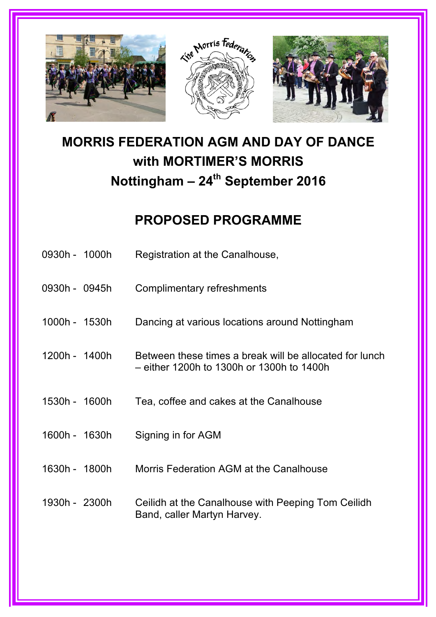

# **MORRIS FEDERATION AGM AND DAY OF DANCE with MORTIMER'S MORRIS**  Nottingham - 24<sup>th</sup> September 2016

## **PROPOSED PROGRAMME**

| 0930h - 1000h | Registration at the Canalhouse,                                                                      |
|---------------|------------------------------------------------------------------------------------------------------|
| 0930h - 0945h | Complimentary refreshments                                                                           |
| 1000h - 1530h | Dancing at various locations around Nottingham                                                       |
| 1200h - 1400h | Between these times a break will be allocated for lunch<br>- either 1200h to 1300h or 1300h to 1400h |
| 1530h - 1600h | Tea, coffee and cakes at the Canalhouse                                                              |
| 1600h - 1630h | Signing in for AGM                                                                                   |
| 1630h - 1800h | Morris Federation AGM at the Canalhouse                                                              |
| 1930h - 2300h | Ceilidh at the Canalhouse with Peeping Tom Ceilidh<br>Band, caller Martyn Harvey.                    |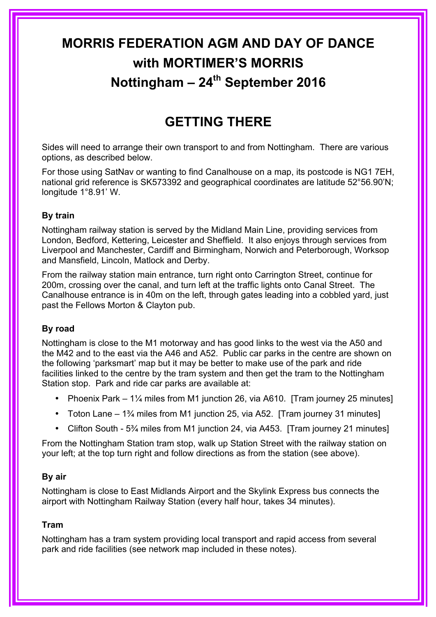# **MORRIS FEDERATION AGM AND DAY OF DANCE with MORTIMER'S MORRIS Nottingham – 24th September 2016**

## **GETTING THERE**

Sides will need to arrange their own transport to and from Nottingham. There are various options, as described below.

For those using SatNav or wanting to find Canalhouse on a map, its postcode is NG1 7EH, national grid reference is SK573392 and geographical coordinates are latitude 52°56.90'N; longitude 1°8.91' W.

#### **By train**

Nottingham railway station is served by the Midland Main Line, providing services from London, Bedford, Kettering, Leicester and Sheffield. It also enjoys through services from Liverpool and Manchester, Cardiff and Birmingham, Norwich and Peterborough, Worksop and Mansfield, Lincoln, Matlock and Derby.

From the railway station main entrance, turn right onto Carrington Street, continue for 200m, crossing over the canal, and turn left at the traffic lights onto Canal Street. The Canalhouse entrance is in 40m on the left, through gates leading into a cobbled yard, just past the Fellows Morton & Clayton pub.

#### **By road**

Nottingham is close to the M1 motorway and has good links to the west via the A50 and the M42 and to the east via the A46 and A52. Public car parks in the centre are shown on the following 'parksmart' map but it may be better to make use of the park and ride facilities linked to the centre by the tram system and then get the tram to the Nottingham Station stop. Park and ride car parks are available at:

- Phoenix Park 1<sup>1/4</sup> miles from M1 junction 26, via A610. [Tram journey 25 minutes]
- Toton Lane 1<sup>3</sup>/<sub>4</sub> miles from M1 junction 25, via A52. [Tram journey 31 minutes]
- Clifton South 5<sup>3</sup>/<sub>4</sub> miles from M1 junction 24, via A453. [Tram journey 21 minutes]

From the Nottingham Station tram stop, walk up Station Street with the railway station on your left; at the top turn right and follow directions as from the station (see above).

#### **By air**

Nottingham is close to East Midlands Airport and the Skylink Express bus connects the airport with Nottingham Railway Station (every half hour, takes 34 minutes).

#### **Tram**

Nottingham has a tram system providing local transport and rapid access from several park and ride facilities (see network map included in these notes).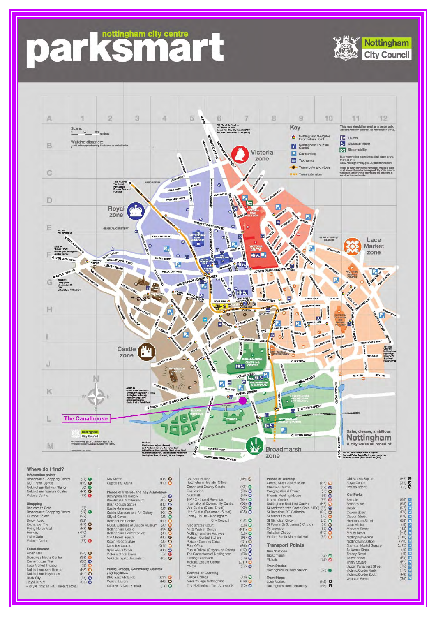# parksmetty centre



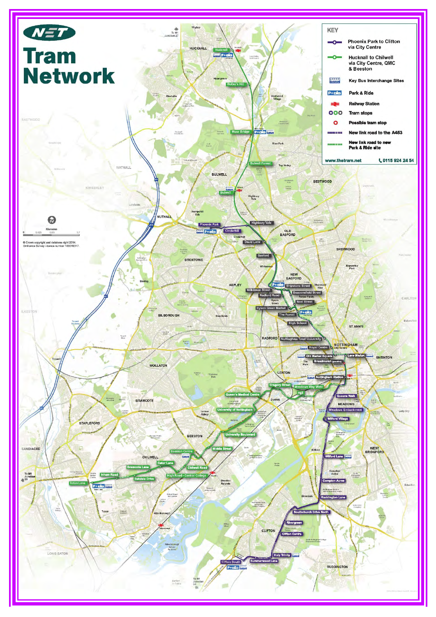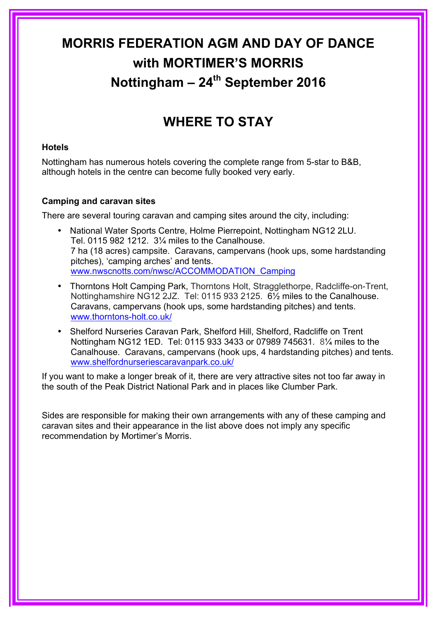# **MORRIS FEDERATION AGM AND DAY OF DANCE with MORTIMER'S MORRIS Nottingham – 24th September 2016**

## **WHERE TO STAY**

#### **Hotels**

Nottingham has numerous hotels covering the complete range from 5-star to B&B, although hotels in the centre can become fully booked very early.

#### **Camping and caravan sites**

There are several touring caravan and camping sites around the city, including:

- National Water Sports Centre, Holme Pierrepoint, Nottingham NG12 2LU. Tel. 0115 982 1212. 3¼ miles to the Canalhouse. 7 ha (18 acres) campsite. Caravans, campervans (hook ups, some hardstanding pitches), 'camping arches' and tents. www.nwscnotts.com/nwsc/ACCOMMODATION\_Camping
- Thorntons Holt Camping Park, Thorntons Holt, Stragglethorpe, Radcliffe-on-Trent, Nottinghamshire NG12 2JZ. Tel: 0115 933 2125. 6½ miles to the Canalhouse. Caravans, campervans (hook ups, some hardstanding pitches) and tents. www.thorntons-holt.co.uk/
- Shelford Nurseries Caravan Park, Shelford Hill, Shelford, Radcliffe on Trent Nottingham NG12 1ED. Tel: 0115 933 3433 or 07989 745631. 8¼ miles to the Canalhouse. Caravans, campervans (hook ups, 4 hardstanding pitches) and tents. www.shelfordnurseriescaravanpark.co.uk/

If you want to make a longer break of it, there are very attractive sites not too far away in the south of the Peak District National Park and in places like Clumber Park.

Sides are responsible for making their own arrangements with any of these camping and caravan sites and their appearance in the list above does not imply any specific recommendation by Mortimer's Morris.